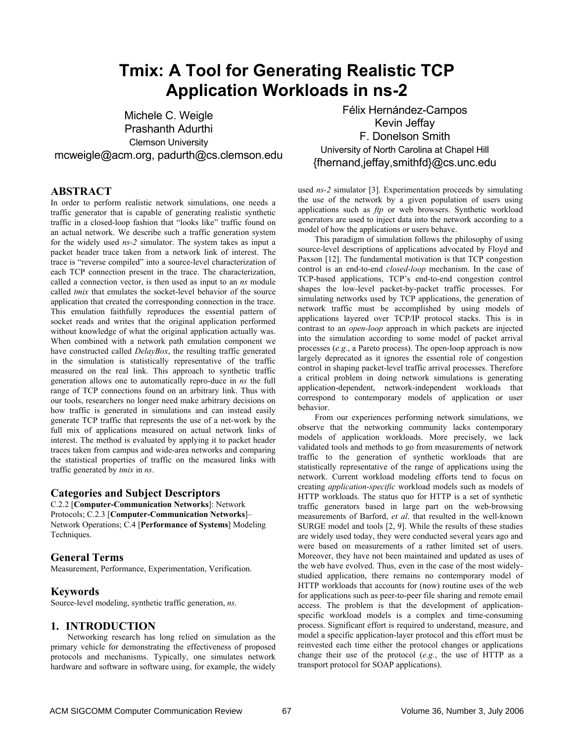# **Tmix: A Tool for Generating Realistic TCP Application Workloads in ns-2**

Michele C. Weigle Prashanth Adurthi Clemson University mcweigle@acm.org, padurth@cs.clemson.edu

# **ABSTRACT**

In order to perform realistic network simulations, one needs a traffic generator that is capable of generating realistic synthetic traffic in a closed-loop fashion that "looks like" traffic found on an actual network. We describe such a traffic generation system for the widely used *ns-2* simulator. The system takes as input a packet header trace taken from a network link of interest. The trace is "reverse compiled" into a source-level characterization of each TCP connection present in the trace. The characterization, called a connection vector, is then used as input to an *ns* module called *tmix* that emulates the socket-level behavior of the source application that created the corresponding connection in the trace. This emulation faithfully reproduces the essential pattern of socket reads and writes that the original application performed without knowledge of what the original application actually was. When combined with a network path emulation component we have constructed called *DelayBox*, the resulting traffic generated in the simulation is statistically representative of the traffic measured on the real link. This approach to synthetic traffic generation allows one to automatically repro-duce in *ns* the full range of TCP connections found on an arbitrary link. Thus with our tools, researchers no longer need make arbitrary decisions on how traffic is generated in simulations and can instead easily generate TCP traffic that represents the use of a net-work by the full mix of applications measured on actual network links of interest. The method is evaluated by applying it to packet header traces taken from campus and wide-area networks and comparing the statistical properties of traffic on the measured links with traffic generated by *tmix* in *ns*.

## **Categories and Subject Descriptors**

C.2.2 [**Computer-Communication Networks**]: Network Protocols; C.2.3 [**Computer-Communication Networks**]– Network Operations; C.4 [**Performance of Systems**] Modeling Techniques.

## **General Terms**

Measurement, Performance, Experimentation, Verification.

## **Keywords**

Source-level modeling, synthetic traffic generation, *ns*.

## **1. INTRODUCTION**

Networking research has long relied on simulation as the primary vehicle for demonstrating the effectiveness of proposed protocols and mechanisms. Typically, one simulates network hardware and software in software using, for example, the widely

Félix Hernández-Campos Kevin Jeffay F. Donelson Smith University of North Carolina at Chapel Hill {fhernand,jeffay,smithfd}@cs.unc.edu

used *ns-2* simulator [3]. Experimentation proceeds by simulating the use of the network by a given population of users using applications such as *ftp* or web browsers. Synthetic workload generators are used to inject data into the network according to a model of how the applications or users behave.

This paradigm of simulation follows the philosophy of using source-level descriptions of applications advocated by Floyd and Paxson [12]. The fundamental motivation is that TCP congestion control is an end-to-end *closed-loop* mechanism. In the case of TCP-based applications, TCP's end-to-end congestion control shapes the low-level packet-by-packet traffic processes. For simulating networks used by TCP applications, the generation of network traffic must be accomplished by using models of applications layered over TCP/IP protocol stacks. This is in contrast to an *open-loop* approach in which packets are injected into the simulation according to some model of packet arrival processes (*e.g.*, a Pareto process). The open-loop approach is now largely deprecated as it ignores the essential role of congestion control in shaping packet-level traffic arrival processes. Therefore a critical problem in doing network simulations is generating application-dependent, network-independent workloads that correspond to contemporary models of application or user behavior.

From our experiences performing network simulations, we observe that the networking community lacks contemporary models of application workloads. More precisely, we lack validated tools and methods to go from measurements of network traffic to the generation of synthetic workloads that are statistically representative of the range of applications using the network. Current workload modeling efforts tend to focus on creating *application-specific* workload models such as models of HTTP workloads. The status quo for HTTP is a set of synthetic traffic generators based in large part on the web-browsing measurements of Barford, *et al*. that resulted in the well-known SURGE model and tools [2, 9]. While the results of these studies are widely used today, they were conducted several years ago and were based on measurements of a rather limited set of users. Moreover, they have not been maintained and updated as uses of the web have evolved. Thus, even in the case of the most widelystudied application, there remains no contemporary model of HTTP workloads that accounts for (now) routine uses of the web for applications such as peer-to-peer file sharing and remote email access. The problem is that the development of applicationspecific workload models is a complex and time-consuming process. Significant effort is required to understand, measure, and model a specific application-layer protocol and this effort must be reinvested each time either the protocol changes or applications change their use of the protocol (*e.g.*, the use of HTTP as a transport protocol for SOAP applications).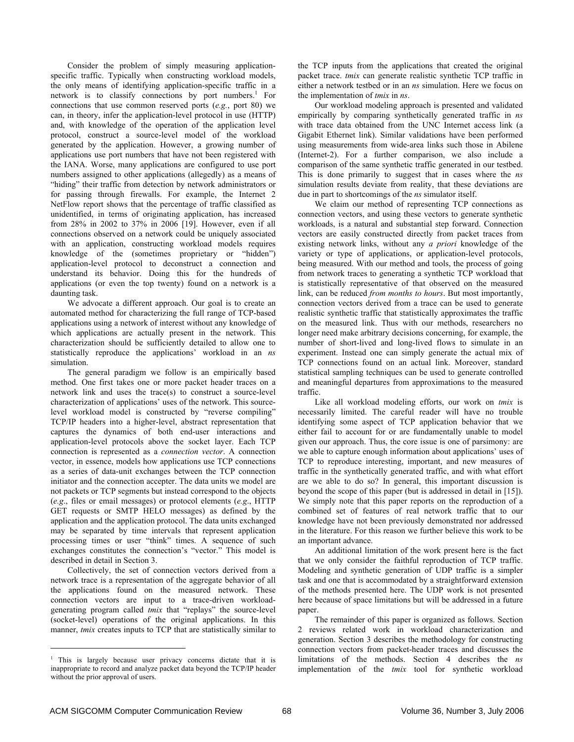Consider the problem of simply measuring applicationspecific traffic. Typically when constructing workload models, the only means of identifying application-specific traffic in a network is to classify connections by port numbers.<sup>1</sup> For connections that use common reserved ports (*e.g.*, port 80) we can, in theory, infer the application-level protocol in use (HTTP) and, with knowledge of the operation of the application level protocol, construct a source-level model of the workload generated by the application. However, a growing number of applications use port numbers that have not been registered with the IANA. Worse, many applications are configured to use port numbers assigned to other applications (allegedly) as a means of "hiding" their traffic from detection by network administrators or for passing through firewalls. For example, the Internet 2 NetFlow report shows that the percentage of traffic classified as unidentified, in terms of originating application, has increased from 28% in 2002 to 37% in 2006 [19]. However, even if all connections observed on a network could be uniquely associated with an application, constructing workload models requires knowledge of the (sometimes proprietary or "hidden") application-level protocol to deconstruct a connection and understand its behavior. Doing this for the hundreds of applications (or even the top twenty) found on a network is a daunting task.

We advocate a different approach. Our goal is to create an automated method for characterizing the full range of TCP-based applications using a network of interest without any knowledge of which applications are actually present in the network. This characterization should be sufficiently detailed to allow one to statistically reproduce the applications' workload in an *ns* simulation.

The general paradigm we follow is an empirically based method. One first takes one or more packet header traces on a network link and uses the trace(s) to construct a source-level characterization of applications' uses of the network. This sourcelevel workload model is constructed by "reverse compiling" TCP/IP headers into a higher-level, abstract representation that captures the dynamics of both end-user interactions and application-level protocols above the socket layer. Each TCP connection is represented as a *connection vector*. A connection vector, in essence, models how applications use TCP connections as a series of data-unit exchanges between the TCP connection initiator and the connection accepter. The data units we model are not packets or TCP segments but instead correspond to the objects (*e.g*., files or email messages) or protocol elements (*e.g*., HTTP GET requests or SMTP HELO messages) as defined by the application and the application protocol. The data units exchanged may be separated by time intervals that represent application processing times or user "think" times. A sequence of such exchanges constitutes the connection's "vector." This model is described in detail in Section 3.

Collectively, the set of connection vectors derived from a network trace is a representation of the aggregate behavior of all the applications found on the measured network. These connection vectors are input to a trace-driven workloadgenerating program called *tmix* that "replays" the source-level (socket-level) operations of the original applications. In this manner, *tmix* creates inputs to TCP that are statistically similar to

the TCP inputs from the applications that created the original packet trace. *tmix* can generate realistic synthetic TCP traffic in either a network testbed or in an *ns* simulation. Here we focus on the implementation of *tmix* in *ns*.

Our workload modeling approach is presented and validated empirically by comparing synthetically generated traffic in *ns* with trace data obtained from the UNC Internet access link (a Gigabit Ethernet link). Similar validations have been performed using measurements from wide-area links such those in Abilene (Internet-2). For a further comparison, we also include a comparison of the same synthetic traffic generated in our testbed. This is done primarily to suggest that in cases where the *ns* simulation results deviate from reality, that these deviations are due in part to shortcomings of the *ns* simulator itself.

We claim our method of representing TCP connections as connection vectors, and using these vectors to generate synthetic workloads, is a natural and substantial step forward. Connection vectors are easily constructed directly from packet traces from existing network links, without any *a priori* knowledge of the variety or type of applications, or application-level protocols, being measured. With our method and tools, the process of going from network traces to generating a synthetic TCP workload that is statistically representative of that observed on the measured link, can be reduced *from months to hours*. But most importantly, connection vectors derived from a trace can be used to generate realistic synthetic traffic that statistically approximates the traffic on the measured link. Thus with our methods, researchers no longer need make arbitrary decisions concerning, for example, the number of short-lived and long-lived flows to simulate in an experiment. Instead one can simply generate the actual mix of TCP connections found on an actual link. Moreover, standard statistical sampling techniques can be used to generate controlled and meaningful departures from approximations to the measured traffic.

Like all workload modeling efforts, our work on *tmix* is necessarily limited. The careful reader will have no trouble identifying some aspect of TCP application behavior that we either fail to account for or are fundamentally unable to model given our approach. Thus, the core issue is one of parsimony: are we able to capture enough information about applications' uses of TCP to reproduce interesting, important, and new measures of traffic in the synthetically generated traffic, and with what effort are we able to do so? In general, this important discussion is beyond the scope of this paper (but is addressed in detail in [15]). We simply note that this paper reports on the reproduction of a combined set of features of real network traffic that to our knowledge have not been previously demonstrated nor addressed in the literature. For this reason we further believe this work to be an important advance.

An additional limitation of the work present here is the fact that we only consider the faithful reproduction of TCP traffic. Modeling and synthetic generation of UDP traffic is a simpler task and one that is accommodated by a straightforward extension of the methods presented here. The UDP work is not presented here because of space limitations but will be addressed in a future paper.

The remainder of this paper is organized as follows. Section 2 reviews related work in workload characterization and generation. Section 3 describes the methodology for constructing connection vectors from packet-header traces and discusses the limitations of the methods. Section 4 describes the *ns* implementation of the *tmix* tool for synthetic workload

 $\overline{a}$ 

<sup>&</sup>lt;sup>1</sup> This is largely because user privacy concerns dictate that it is inappropriate to record and analyze packet data beyond the TCP/IP header without the prior approval of users.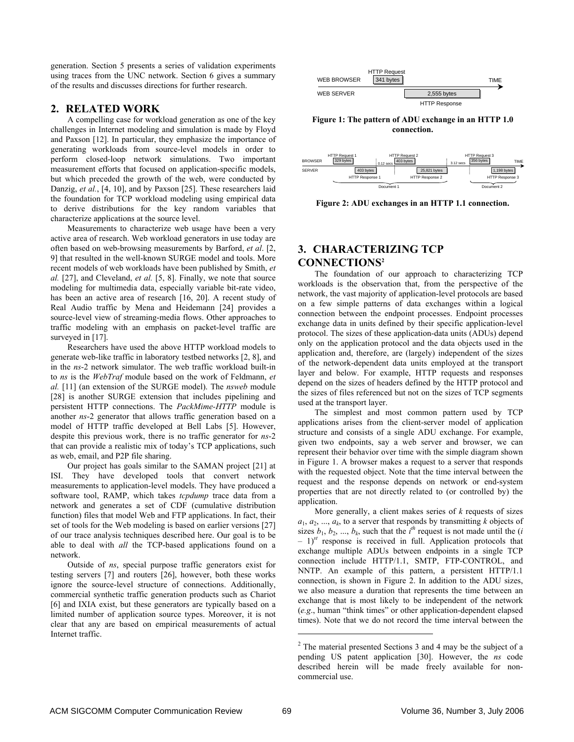generation. Section 5 presents a series of validation experiments using traces from the UNC network. Section 6 gives a summary of the results and discusses directions for further research.

## **2. RELATED WORK**

A compelling case for workload generation as one of the key challenges in Internet modeling and simulation is made by Floyd and Paxson [12]. In particular, they emphasize the importance of generating workloads from source-level models in order to perform closed-loop network simulations. Two important measurement efforts that focused on application-specific models, but which preceded the growth of the web, were conducted by Danzig, *et al.*, [4, 10], and by Paxson [25]. These researchers laid the foundation for TCP workload modeling using empirical data to derive distributions for the key random variables that characterize applications at the source level.

Measurements to characterize web usage have been a very active area of research. Web workload generators in use today are often based on web-browsing measurements by Barford, *et al*. [2, 9] that resulted in the well-known SURGE model and tools. More recent models of web workloads have been published by Smith, *et al.* [27], and Cleveland, *et al.* [5, 8]. Finally, we note that source modeling for multimedia data, especially variable bit-rate video, has been an active area of research [16, 20]. A recent study of Real Audio traffic by Mena and Heidemann [24] provides a source-level view of streaming-media flows. Other approaches to traffic modeling with an emphasis on packet-level traffic are surveyed in [17].

Researchers have used the above HTTP workload models to generate web-like traffic in laboratory testbed networks [2, 8], and in the *ns*-2 network simulator. The web traffic workload built-in to *ns* is the *WebTraf* module based on the work of Feldmann, *et al.* [11] (an extension of the SURGE model). The *nsweb* module [28] is another SURGE extension that includes pipelining and persistent HTTP connections. The *PackMime-HTTP* module is another *ns*-2 generator that allows traffic generation based on a model of HTTP traffic developed at Bell Labs [5]. However, despite this previous work, there is no traffic generator for *ns*-2 that can provide a realistic mix of today's TCP applications, such as web, email, and P2P file sharing.

Our project has goals similar to the SAMAN project [21] at ISI. They have developed tools that convert network measurements to application-level models. They have produced a software tool, RAMP, which takes *tcpdump* trace data from a network and generates a set of CDF (cumulative distribution function) files that model Web and FTP applications. In fact, their set of tools for the Web modeling is based on earlier versions [27] of our trace analysis techniques described here. Our goal is to be able to deal with *all* the TCP-based applications found on a network.

Outside of *ns*, special purpose traffic generators exist for testing servers [7] and routers [26], however, both these works ignore the source-level structure of connections. Additionally, commercial synthetic traffic generation products such as Chariot [6] and IXIA exist, but these generators are typically based on a limited number of application source types. Moreover, it is not clear that any are based on empirical measurements of actual Internet traffic.



**Figure 1: The pattern of ADU exchange in an HTTP 1.0 connection.** 



**Figure 2: ADU exchanges in an HTTP 1.1 connection.**

# **3. CHARACTERIZING TCP CONNECTIONS2**

The foundation of our approach to characterizing TCP workloads is the observation that, from the perspective of the network, the vast majority of application-level protocols are based on a few simple patterns of data exchanges within a logical connection between the endpoint processes. Endpoint processes exchange data in units defined by their specific application-level protocol. The sizes of these application-data units (ADUs) depend only on the application protocol and the data objects used in the application and, therefore, are (largely) independent of the sizes of the network-dependent data units employed at the transport layer and below. For example, HTTP requests and responses depend on the sizes of headers defined by the HTTP protocol and the sizes of files referenced but not on the sizes of TCP segments used at the transport layer.

The simplest and most common pattern used by TCP applications arises from the client-server model of application structure and consists of a single ADU exchange. For example, given two endpoints, say a web server and browser, we can represent their behavior over time with the simple diagram shown in Figure 1. A browser makes a request to a server that responds with the requested object. Note that the time interval between the request and the response depends on network or end-system properties that are not directly related to (or controlled by) the application.

More generally, a client makes series of *k* requests of sizes  $a_1, a_2, \ldots, a_k$ , to a server that responds by transmitting *k* objects of sizes  $b_1$ ,  $b_2$ , ...,  $b_k$ , such that the  $i^{th}$  request is not made until the (*i*  $-1$ <sup>st</sup> response is received in full. Application protocols that exchange multiple ADUs between endpoints in a single TCP connection include HTTP/1.1, SMTP, FTP-CONTROL, and NNTP. An example of this pattern, a persistent HTTP/1.1 connection, is shown in Figure 2. In addition to the ADU sizes, we also measure a duration that represents the time between an exchange that is most likely to be independent of the network (*e.g*., human "think times" or other application-dependent elapsed times). Note that we do not record the time interval between the

1

 $2^2$  The material presented Sections 3 and 4 may be the subject of a pending US patent application [30]. However, the *ns* code described herein will be made freely available for noncommercial use.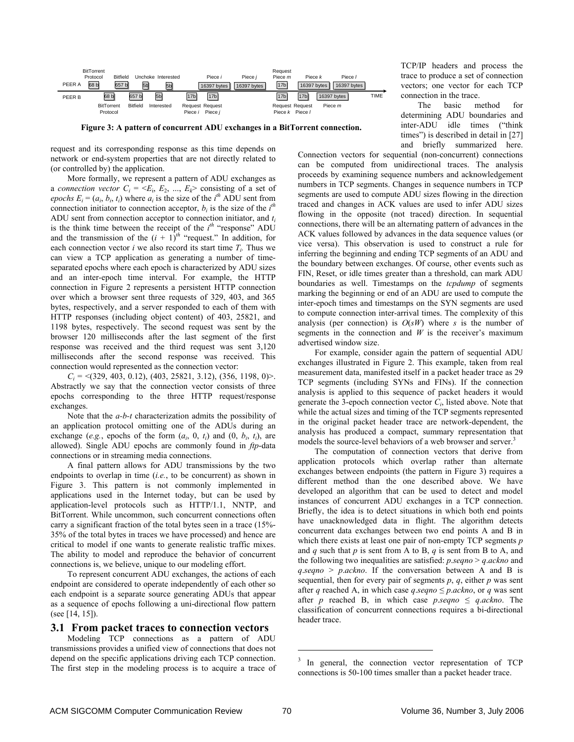

**Figure 3: A pattern of concurrent ADU exchanges in a BitTorrent connection.**

request and its corresponding response as this time depends on network or end-system properties that are not directly related to (or controlled by) the application.

More formally, we represent a pattern of ADU exchanges as a *connection vector*  $C_i = \langle E_i, E_2, ..., E_k \rangle$  consisting of a set of *epochs*  $E_i = (a_i, b_i, t_i)$  where  $a_i$  is the size of the *i*<sup>th</sup> ADU sent from connection initiator to connection acceptor,  $b_i$  is the size of the  $i<sup>th</sup>$ ADU sent from connection acceptor to connection initiator, and *ti* is the think time between the receipt of the  $i^{th}$  "response" ADU and the transmission of the  $(i + 1)^{th}$  "request." In addition, for each connection vector *i* we also record its start time  $T_i$ . Thus we can view a TCP application as generating a number of timeseparated epochs where each epoch is characterized by ADU sizes and an inter-epoch time interval. For example, the HTTP connection in Figure 2 represents a persistent HTTP connection over which a browser sent three requests of 329, 403, and 365 bytes, respectively, and a server responded to each of them with HTTP responses (including object content) of 403, 25821, and 1198 bytes, respectively. The second request was sent by the browser 120 milliseconds after the last segment of the first response was received and the third request was sent 3,120 milliseconds after the second response was received. This connection would represented as the connection vector:

*Ci* = <(329, 403, 0.12), (403, 25821, 3.12), (356, 1198, 0)>. Abstractly we say that the connection vector consists of three epochs corresponding to the three HTTP request/response exchanges.

Note that the *a-b-t* characterization admits the possibility of an application protocol omitting one of the ADUs during an exchange (*e.g.*, epochs of the form  $(a_i, 0, t_i)$  and  $(0, b_i, t_i)$ , are allowed). Single ADU epochs are commonly found in *ftp*-data connections or in streaming media connections.

A final pattern allows for ADU transmissions by the two endpoints to overlap in time (*i.e.*, to be concurrent) as shown in Figure 3. This pattern is not commonly implemented in applications used in the Internet today, but can be used by application-level protocols such as HTTP/1.1, NNTP, and BitTorrent. While uncommon, such concurrent connections often carry a significant fraction of the total bytes seen in a trace (15%- 35% of the total bytes in traces we have processed) and hence are critical to model if one wants to generate realistic traffic mixes. The ability to model and reproduce the behavior of concurrent connections is, we believe, unique to our modeling effort.

To represent concurrent ADU exchanges, the actions of each endpoint are considered to operate independently of each other so each endpoint is a separate source generating ADUs that appear as a sequence of epochs following a uni-directional flow pattern (see [14, 15]).

#### **3.1 From packet traces to connection vectors**

Modeling TCP connections as a pattern of ADU transmissions provides a unified view of connections that does not depend on the specific applications driving each TCP connection. The first step in the modeling process is to acquire a trace of TCP/IP headers and process the trace to produce a set of connection vectors; one vector for each TCP connection in the trace.

The basic method for determining ADU boundaries and inter-ADU idle times ("think times") is described in detail in [27] and briefly summarized here.

Connection vectors for sequential (non-concurrent) connections can be computed from unidirectional traces. The analysis proceeds by examining sequence numbers and acknowledgement numbers in TCP segments. Changes in sequence numbers in TCP segments are used to compute ADU sizes flowing in the direction traced and changes in ACK values are used to infer ADU sizes flowing in the opposite (not traced) direction. In sequential connections, there will be an alternating pattern of advances in the ACK values followed by advances in the data sequence values (or vice versa). This observation is used to construct a rule for inferring the beginning and ending TCP segments of an ADU and the boundary between exchanges. Of course, other events such as FIN, Reset, or idle times greater than a threshold, can mark ADU boundaries as well. Timestamps on the *tcpdump* of segments marking the beginning or end of an ADU are used to compute the inter-epoch times and timestamps on the SYN segments are used to compute connection inter-arrival times. The complexity of this analysis (per connection) is  $O(sW)$  where *s* is the number of segments in the connection and *W* is the receiver's maximum advertised window size.

For example, consider again the pattern of sequential ADU exchanges illustrated in Figure 2. This example, taken from real measurement data, manifested itself in a packet header trace as 29 TCP segments (including SYNs and FINs). If the connection analysis is applied to this sequence of packet headers it would generate the 3-epoch connection vector  $C_i$ , listed above. Note that while the actual sizes and timing of the TCP segments represented in the original packet header trace are network-dependent, the analysis has produced a compact, summary representation that models the source-level behaviors of a web browser and server.<sup>3</sup>

The computation of connection vectors that derive from application protocols which overlap rather than alternate exchanges between endpoints (the pattern in Figure 3) requires a different method than the one described above. We have developed an algorithm that can be used to detect and model instances of concurrent ADU exchanges in a TCP connection. Briefly, the idea is to detect situations in which both end points have unacknowledged data in flight. The algorithm detects concurrent data exchanges between two end points A and B in which there exists at least one pair of non-empty TCP segments *p* and *q* such that *p* is sent from A to B, *q* is sent from B to A, and the following two inequalities are satisfied: *p*.*seqno* > *q*.*ackno* and *q*.*seqno* > *p*.*ackno*. If the conversation between A and B is sequential, then for every pair of segments  $p$ ,  $q$ , either  $p$  was sent after *q* reached A, in which case *q*.*seqno*  $\leq$  *p.ackno*, or *q* was sent after *p* reached B, in which case *p.seqno*  $\leq$  *q.ackno*. The classification of concurrent connections requires a bi-directional header trace.

1

<sup>&</sup>lt;sup>3</sup> In general, the connection vector representation of TCP connections is 50-100 times smaller than a packet header trace.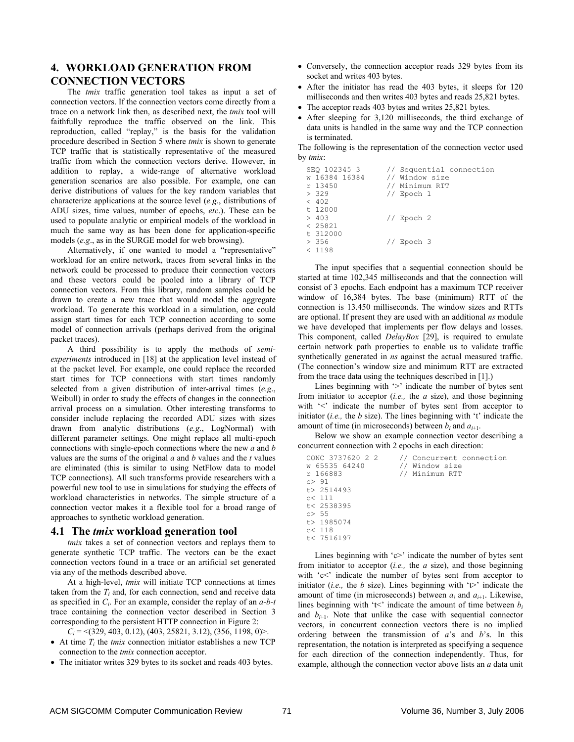# **4. WORKLOAD GENERATION FROM CONNECTION VECTORS**

The *tmix* traffic generation tool takes as input a set of connection vectors. If the connection vectors come directly from a trace on a network link then, as described next, the *tmix* tool will faithfully reproduce the traffic observed on the link. This reproduction, called "replay," is the basis for the validation procedure described in Section 5 where *tmix* is shown to generate TCP traffic that is statistically representative of the measured traffic from which the connection vectors derive. However, in addition to replay, a wide-range of alternative workload generation scenarios are also possible. For example, one can derive distributions of values for the key random variables that characterize applications at the source level (*e.g*., distributions of ADU sizes, time values, number of epochs, *etc*.). These can be used to populate analytic or empirical models of the workload in much the same way as has been done for application-specific models (*e.g*., as in the SURGE model for web browsing).

Alternatively, if one wanted to model a "representative" workload for an entire network, traces from several links in the network could be processed to produce their connection vectors and these vectors could be pooled into a library of TCP connection vectors. From this library, random samples could be drawn to create a new trace that would model the aggregate workload. To generate this workload in a simulation, one could assign start times for each TCP connection according to some model of connection arrivals (perhaps derived from the original packet traces).

A third possibility is to apply the methods of *semiexperiments* introduced in [18] at the application level instead of at the packet level. For example, one could replace the recorded start times for TCP connections with start times randomly selected from a given distribution of inter-arrival times (*e.g*., Weibull) in order to study the effects of changes in the connection arrival process on a simulation. Other interesting transforms to consider include replacing the recorded ADU sizes with sizes drawn from analytic distributions (*e.g*., LogNormal) with different parameter settings. One might replace all multi-epoch connections with single-epoch connections where the new *a* and *b* values are the sums of the original *a* and *b* values and the *t* values are eliminated (this is similar to using NetFlow data to model TCP connections). All such transforms provide researchers with a powerful new tool to use in simulations for studying the effects of workload characteristics in networks. The simple structure of a connection vector makes it a flexible tool for a broad range of approaches to synthetic workload generation.

## **4.1 The** *tmix* **workload generation tool**

*tmix* takes a set of connection vectors and replays them to generate synthetic TCP traffic. The vectors can be the exact connection vectors found in a trace or an artificial set generated via any of the methods described above.

At a high-level, *tmix* will initiate TCP connections at times taken from the  $T_i$  and, for each connection, send and receive data as specified in *Ci*. For an example, consider the replay of an *a-b-t* trace containing the connection vector described in Section 3 corresponding to the persistent HTTP connection in Figure 2:

*Ci* = <(329, 403, 0.12), (403, 25821, 3.12), (356, 1198, 0)>.

- At time  $T_i$  the *tmix* connection initiator establishes a new TCP connection to the *tmix* connection acceptor.
- The initiator writes 329 bytes to its socket and reads 403 bytes.
- Conversely, the connection acceptor reads 329 bytes from its socket and writes 403 bytes.
- After the initiator has read the 403 bytes, it sleeps for 120 milliseconds and then writes 403 bytes and reads 25,821 bytes.
- The acceptor reads 403 bytes and writes 25,821 bytes.
- After sleeping for 3,120 milliseconds, the third exchange of data units is handled in the same way and the TCP connection is terminated.

The following is the representation of the connection vector used by *tmix*:

```
SEQ 102345 3 // Sequential connection<br>w 16384 16384 // Window size
w 16384 16384 // Window size<br>r 13450 // Minimum RTT
r 13450 // Minimum RTT<br>> 329 // Epoch 1
                       // Epoch 1
< 402t 12000<br>> 403
                        // Epoch 2
< 25821 
t 312000 
> 356 // Epoch 3 
< 1198
```
The input specifies that a sequential connection should be started at time 102,345 milliseconds and that the connection will consist of 3 epochs. Each endpoint has a maximum TCP receiver window of 16,384 bytes. The base (minimum) RTT of the connection is 13.450 milliseconds. The window sizes and RTTs are optional. If present they are used with an additional *ns* module we have developed that implements per flow delays and losses. This component, called *DelayBox* [29], is required to emulate certain network path properties to enable us to validate traffic synthetically generated in *ns* against the actual measured traffic. (The connection's window size and minimum RTT are extracted from the trace data using the techniques described in [1].)

Lines beginning with '>' indicate the number of bytes sent from initiator to acceptor (*i.e.,* the *a* size), and those beginning with '<' indicate the number of bytes sent from acceptor to initiator (*i.e.,* the *b* size). The lines beginning with 't' indicate the amount of time (in microseconds) between  $b_i$  and  $a_{i+1}$ .

Below we show an example connection vector describing a concurrent connection with 2 epochs in each direction:

| CONC 3737620 2 2 | // Concurrent connection |
|------------------|--------------------------|
| w 65535 64240    | // Window size           |
| r 166883         | // Minimum RTT           |
| c > 91           |                          |
| t > 2514493      |                          |
| c< 111           |                          |
| t< 2538395       |                          |
| c > 55           |                          |
| t > 1985074      |                          |
| c< 118           |                          |
| t< 7516197       |                          |

Lines beginning with 'c>' indicate the number of bytes sent from initiator to acceptor (*i.e.,* the *a* size), and those beginning with 'c<' indicate the number of bytes sent from acceptor to initiator (*i.e.*, the *b* size). Lines beginning with  $\forall$  indicate the amount of time (in microseconds) between  $a_i$  and  $a_{i+1}$ . Likewise, lines beginning with 't<' indicate the amount of time between  $b_i$ and  $b_{i+1}$ . Note that unlike the case with sequential connector vectors, in concurrent connection vectors there is no implied ordering between the transmission of *a*'s and *b*'s. In this representation, the notation is interpreted as specifying a sequence for each direction of the connection independently. Thus, for example, although the connection vector above lists an *a* data unit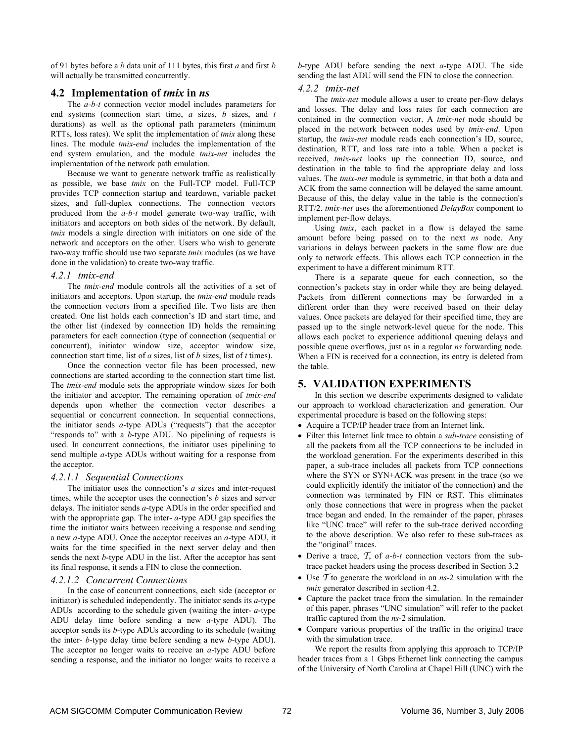of 91 bytes before a *b* data unit of 111 bytes, this first *a* and first *b* will actually be transmitted concurrently.

## **4.2 Implementation of** *tmix* **in** *ns*

The *a-b-t* connection vector model includes parameters for end systems (connection start time, *a* sizes, *b* sizes, and *t* durations) as well as the optional path parameters (minimum RTTs, loss rates). We split the implementation of *tmix* along these lines. The module *tmix-end* includes the implementation of the end system emulation, and the module *tmix-net* includes the implementation of the network path emulation.

Because we want to generate network traffic as realistically as possible, we base *tmix* on the Full-TCP model. Full-TCP provides TCP connection startup and teardown, variable packet sizes, and full-duplex connections. The connection vectors produced from the *a-b-t* model generate two-way traffic, with initiators and acceptors on both sides of the network. By default, *tmix* models a single direction with initiators on one side of the network and acceptors on the other. Users who wish to generate two-way traffic should use two separate *tmix* modules (as we have done in the validation) to create two-way traffic.

#### *4.2.1 tmix-end*

The *tmix-end* module controls all the activities of a set of initiators and acceptors. Upon startup, the *tmix-end* module reads the connection vectors from a specified file. Two lists are then created. One list holds each connection's ID and start time, and the other list (indexed by connection ID) holds the remaining parameters for each connection (type of connection (sequential or concurrent), initiator window size, acceptor window size, connection start time, list of *a* sizes, list of *b* sizes, list of *t* times).

Once the connection vector file has been processed, new connections are started according to the connection start time list. The *tmix-end* module sets the appropriate window sizes for both the initiator and acceptor. The remaining operation of *tmix-end* depends upon whether the connection vector describes a sequential or concurrent connection. In sequential connections, the initiator sends *a*-type ADUs ("requests") that the acceptor "responds to" with a *b*-type ADU. No pipelining of requests is used. In concurrent connections, the initiator uses pipelining to send multiple *a*-type ADUs without waiting for a response from the acceptor.

#### *4.2.1.1 Sequential Connections*

The initiator uses the connection's *a* sizes and inter-request times, while the acceptor uses the connection's *b* sizes and server delays. The initiator sends *a*-type ADUs in the order specified and with the appropriate gap. The inter- *a*-type ADU gap specifies the time the initiator waits between receiving a response and sending a new *a*-type ADU. Once the acceptor receives an *a*-type ADU, it waits for the time specified in the next server delay and then sends the next *b*-type ADU in the list. After the acceptor has sent its final response, it sends a FIN to close the connection.

#### *4.2.1.2 Concurrent Connections*

In the case of concurrent connections, each side (acceptor or initiator) is scheduled independently. The initiator sends its *a*-type ADUs according to the schedule given (waiting the inter- *a*-type ADU delay time before sending a new *a*-type ADU). The acceptor sends its *b*-type ADUs according to its schedule (waiting the inter- *b*-type delay time before sending a new *b*-type ADU). The acceptor no longer waits to receive an *a*-type ADU before sending a response, and the initiator no longer waits to receive a

*b*-type ADU before sending the next *a*-type ADU. The side sending the last ADU will send the FIN to close the connection.

#### *4.2.2 tmix-net*

The *tmix-net* module allows a user to create per-flow delays and losses. The delay and loss rates for each connection are contained in the connection vector. A *tmix-net* node should be placed in the network between nodes used by *tmix-end*. Upon startup, the *tmix-net* module reads each connection's ID, source, destination, RTT, and loss rate into a table. When a packet is received, *tmix-net* looks up the connection ID, source, and destination in the table to find the appropriate delay and loss values. The *tmix-net* module is symmetric, in that both a data and ACK from the same connection will be delayed the same amount. Because of this, the delay value in the table is the connection's RTT/2. *tmix-net* uses the aforementioned *DelayBox* component to implement per-flow delays.

Using *tmix*, each packet in a flow is delayed the same amount before being passed on to the next *ns* node. Any variations in delays between packets in the same flow are due only to network effects. This allows each TCP connection in the experiment to have a different minimum RTT.

There is a separate queue for each connection, so the connection's packets stay in order while they are being delayed. Packets from different connections may be forwarded in a different order than they were received based on their delay values. Once packets are delayed for their specified time, they are passed up to the single network-level queue for the node. This allows each packet to experience additional queuing delays and possible queue overflows, just as in a regular *ns* forwarding node. When a FIN is received for a connection, its entry is deleted from the table.

### **5. VALIDATION EXPERIMENTS**

In this section we describe experiments designed to validate our approach to workload characterization and generation. Our experimental procedure is based on the following steps:

- Acquire a TCP/IP header trace from an Internet link.
- Filter this Internet link trace to obtain a *sub-trace* consisting of all the packets from all the TCP connections to be included in the workload generation. For the experiments described in this paper, a sub-trace includes all packets from TCP connections where the SYN or SYN+ACK was present in the trace (so we could explicitly identify the initiator of the connection) and the connection was terminated by FIN or RST. This eliminates only those connections that were in progress when the packet trace began and ended. In the remainder of the paper, phrases like "UNC trace" will refer to the sub-trace derived according to the above description. We also refer to these sub-traces as the "original" traces.
- Derive a trace, *T*, of *a-b-t* connection vectors from the subtrace packet headers using the process described in Section 3.2
- Use *T* to generate the workload in an *ns*-2 simulation with the *tmix* generator described in section 4.2.
- Capture the packet trace from the simulation. In the remainder of this paper, phrases "UNC simulation" will refer to the packet traffic captured from the *ns*-2 simulation.
- Compare various properties of the traffic in the original trace with the simulation trace.

We report the results from applying this approach to TCP/IP header traces from a 1 Gbps Ethernet link connecting the campus of the University of North Carolina at Chapel Hill (UNC) with the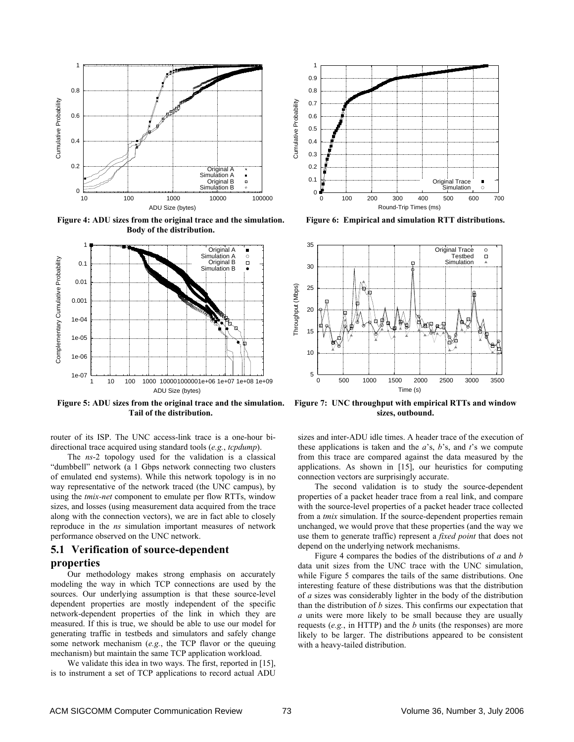

**Figure 4: ADU sizes from the original trace and the simulation. Body of the distribution.** 



**Figure 5: ADU sizes from the original trace and the simulation. Tail of the distribution.** 

router of its ISP. The UNC access-link trace is a one-hour bidirectional trace acquired using standard tools (*e.g.*, *tcpdump*).

The *ns*-2 topology used for the validation is a classical "dumbbell" network (a 1 Gbps network connecting two clusters of emulated end systems). While this network topology is in no way representative of the network traced (the UNC campus), by using the *tmix-net* component to emulate per flow RTTs, window sizes, and losses (using measurement data acquired from the trace along with the connection vectors), we are in fact able to closely reproduce in the *ns* simulation important measures of network performance observed on the UNC network.

# **5.1 Verification of source-dependent properties**

Our methodology makes strong emphasis on accurately modeling the way in which TCP connections are used by the sources. Our underlying assumption is that these source-level dependent properties are mostly independent of the specific network-dependent properties of the link in which they are measured. If this is true, we should be able to use our model for generating traffic in testbeds and simulators and safely change some network mechanism (*e.g.*, the TCP flavor or the queuing mechanism) but maintain the same TCP application workload.

We validate this idea in two ways. The first, reported in [15], is to instrument a set of TCP applications to record actual ADU



**Figure 6: Empirical and simulation RTT distributions.** 



**Figure 7: UNC throughput with empirical RTTs and window sizes, outbound.** 

sizes and inter-ADU idle times. A header trace of the execution of these applications is taken and the *a*'s, *b*'s, and *t*'s we compute from this trace are compared against the data measured by the applications. As shown in [15], our heuristics for computing connection vectors are surprisingly accurate.

The second validation is to study the source-dependent properties of a packet header trace from a real link, and compare with the source-level properties of a packet header trace collected from a *tmix* simulation. If the source-dependent properties remain unchanged, we would prove that these properties (and the way we use them to generate traffic) represent a *fixed point* that does not depend on the underlying network mechanisms.

Figure 4 compares the bodies of the distributions of *a* and *b* data unit sizes from the UNC trace with the UNC simulation, while Figure 5 compares the tails of the same distributions. One interesting feature of these distributions was that the distribution of *a* sizes was considerably lighter in the body of the distribution than the distribution of *b* sizes. This confirms our expectation that *a* units were more likely to be small because they are usually requests (*e.g.*, in HTTP) and the *b* units (the responses) are more likely to be larger. The distributions appeared to be consistent with a heavy-tailed distribution.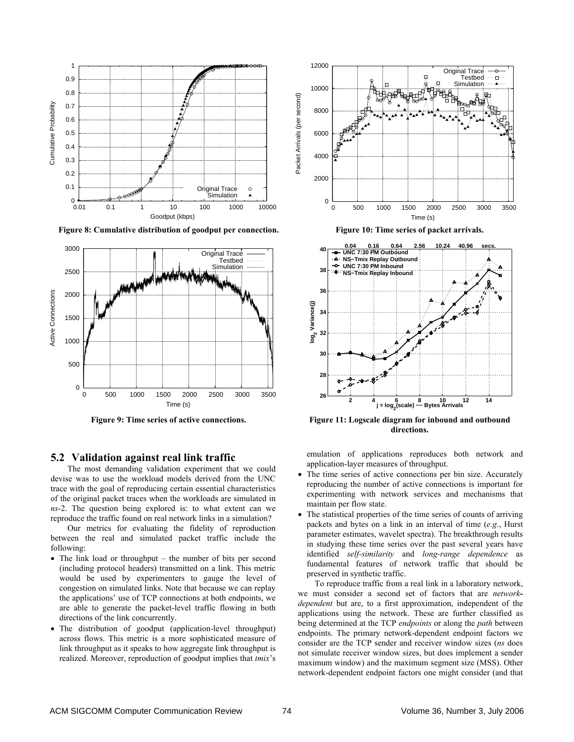

Figure 8: Cumulative distribution of goodput per connection. **Figure 10: Time series of packet arrivals.** 



## **5.2 Validation against real link traffic**

The most demanding validation experiment that we could devise was to use the workload models derived from the UNC trace with the goal of reproducing certain essential characteristics of the original packet traces when the workloads are simulated in *ns*-2. The question being explored is: to what extent can we reproduce the traffic found on real network links in a simulation?

Our metrics for evaluating the fidelity of reproduction between the real and simulated packet traffic include the following:

- The link load or throughput the number of bits per second (including protocol headers) transmitted on a link. This metric would be used by experimenters to gauge the level of congestion on simulated links. Note that because we can replay the applications' use of TCP connections at both endpoints, we are able to generate the packet-level traffic flowing in both directions of the link concurrently.
- The distribution of goodput (application-level throughput) across flows. This metric is a more sophisticated measure of link throughput as it speaks to how aggregate link throughput is realized. Moreover, reproduction of goodput implies that *tmix*'s





Figure 9: Time series of active connections. **Figure 11: Logscale diagram for inbound and outbound directions.** 

emulation of applications reproduces both network and application-layer measures of throughput.

- The time series of active connections per bin size. Accurately reproducing the number of active connections is important for experimenting with network services and mechanisms that maintain per flow state.
- The statistical properties of the time series of counts of arriving packets and bytes on a link in an interval of time (*e.g*., Hurst parameter estimates, wavelet spectra). The breakthrough results in studying these time series over the past several years have identified *self-similarity* and *long-range dependence* as fundamental features of network traffic that should be preserved in synthetic traffic.

To reproduce traffic from a real link in a laboratory network, we must consider a second set of factors that are *networkdependent* but are, to a first approximation, independent of the applications using the network. These are further classified as being determined at the TCP *endpoints* or along the *path* between endpoints. The primary network-dependent endpoint factors we consider are the TCP sender and receiver window sizes (*ns* does not simulate receiver window sizes, but does implement a sender maximum window) and the maximum segment size (MSS). Other network-dependent endpoint factors one might consider (and that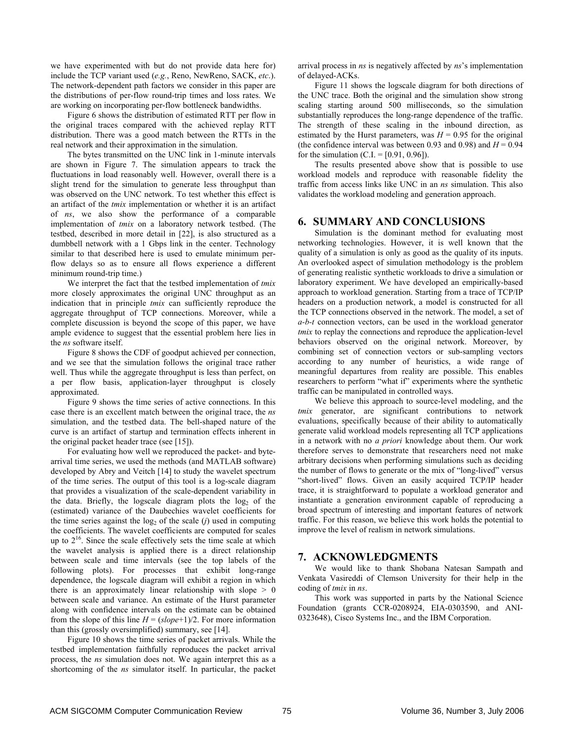we have experimented with but do not provide data here for) include the TCP variant used (*e.g.*, Reno, NewReno, SACK, *etc*.). The network-dependent path factors we consider in this paper are the distributions of per-flow round-trip times and loss rates. We are working on incorporating per-flow bottleneck bandwidths.

Figure 6 shows the distribution of estimated RTT per flow in the original traces compared with the achieved replay RTT distribution. There was a good match between the RTTs in the real network and their approximation in the simulation.

The bytes transmitted on the UNC link in 1-minute intervals are shown in Figure 7. The simulation appears to track the fluctuations in load reasonably well. However, overall there is a slight trend for the simulation to generate less throughput than was observed on the UNC network. To test whether this effect is an artifact of the *tmix* implementation or whether it is an artifact of *ns*, we also show the performance of a comparable implementation of *tmix* on a laboratory network testbed. (The testbed, described in more detail in [22], is also structured as a dumbbell network with a 1 Gbps link in the center. Technology similar to that described here is used to emulate minimum perflow delays so as to ensure all flows experience a different minimum round-trip time.)

We interpret the fact that the testbed implementation of *tmix* more closely approximates the original UNC throughput as an indication that in principle *tmix* can sufficiently reproduce the aggregate throughput of TCP connections. Moreover, while a complete discussion is beyond the scope of this paper, we have ample evidence to suggest that the essential problem here lies in the *ns* software itself.

Figure 8 shows the CDF of goodput achieved per connection, and we see that the simulation follows the original trace rather well. Thus while the aggregate throughput is less than perfect, on a per flow basis, application-layer throughput is closely approximated.

Figure 9 shows the time series of active connections. In this case there is an excellent match between the original trace, the *ns* simulation, and the testbed data. The bell-shaped nature of the curve is an artifact of startup and termination effects inherent in the original packet header trace (see [15]).

For evaluating how well we reproduced the packet- and bytearrival time series, we used the methods (and MATLAB software) developed by Abry and Veitch [14] to study the wavelet spectrum of the time series. The output of this tool is a log-scale diagram that provides a visualization of the scale-dependent variability in the data. Briefly, the logscale diagram plots the  $log<sub>2</sub>$  of the (estimated) variance of the Daubechies wavelet coefficients for the time series against the  $log_2$  of the scale (*j*) used in computing the coefficients. The wavelet coefficients are computed for scales up to  $2^{16}$ . Since the scale effectively sets the time scale at which the wavelet analysis is applied there is a direct relationship between scale and time intervals (see the top labels of the following plots). For processes that exhibit long-range dependence, the logscale diagram will exhibit a region in which there is an approximately linear relationship with slope  $> 0$ between scale and variance. An estimate of the Hurst parameter along with confidence intervals on the estimate can be obtained from the slope of this line  $H = (slope+1)/2$ . For more information than this (grossly oversimplified) summary, see [14].

Figure 10 shows the time series of packet arrivals. While the testbed implementation faithfully reproduces the packet arrival process, the *ns* simulation does not. We again interpret this as a shortcoming of the *ns* simulator itself. In particular, the packet arrival process in *ns* is negatively affected by *ns*'s implementation of delayed-ACKs.

Figure 11 shows the logscale diagram for both directions of the UNC trace. Both the original and the simulation show strong scaling starting around 500 milliseconds, so the simulation substantially reproduces the long-range dependence of the traffic. The strength of these scaling in the inbound direction, as estimated by the Hurst parameters, was  $H = 0.95$  for the original (the confidence interval was between 0.93 and 0.98) and  $H = 0.94$ for the simulation (C.I. =  $[0.91, 0.96]$ ).

The results presented above show that is possible to use workload models and reproduce with reasonable fidelity the traffic from access links like UNC in an *ns* simulation. This also validates the workload modeling and generation approach.

## **6. SUMMARY AND CONCLUSIONS**

Simulation is the dominant method for evaluating most networking technologies. However, it is well known that the quality of a simulation is only as good as the quality of its inputs. An overlooked aspect of simulation methodology is the problem of generating realistic synthetic workloads to drive a simulation or laboratory experiment. We have developed an empirically-based approach to workload generation. Starting from a trace of TCP/IP headers on a production network, a model is constructed for all the TCP connections observed in the network. The model, a set of *a-b-t* connection vectors, can be used in the workload generator *tmix* to replay the connections and reproduce the application-level behaviors observed on the original network. Moreover, by combining set of connection vectors or sub-sampling vectors according to any number of heuristics, a wide range of meaningful departures from reality are possible. This enables researchers to perform "what if" experiments where the synthetic traffic can be manipulated in controlled ways.

We believe this approach to source-level modeling, and the *tmix* generator, are significant contributions to network evaluations, specifically because of their ability to automatically generate valid workload models representing all TCP applications in a network with no *a priori* knowledge about them. Our work therefore serves to demonstrate that researchers need not make arbitrary decisions when performing simulations such as deciding the number of flows to generate or the mix of "long-lived" versus "short-lived" flows. Given an easily acquired TCP/IP header trace, it is straightforward to populate a workload generator and instantiate a generation environment capable of reproducing a broad spectrum of interesting and important features of network traffic. For this reason, we believe this work holds the potential to improve the level of realism in network simulations.

## **7. ACKNOWLEDGMENTS**

We would like to thank Shobana Natesan Sampath and Venkata Vasireddi of Clemson University for their help in the coding of *tmix* in *ns*.

This work was supported in parts by the National Science Foundation (grants CCR-0208924, EIA-0303590, and ANI-0323648), Cisco Systems Inc., and the IBM Corporation.